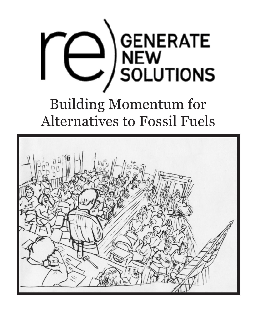

# Building Momentum for Alternatives to Fossil Fuels

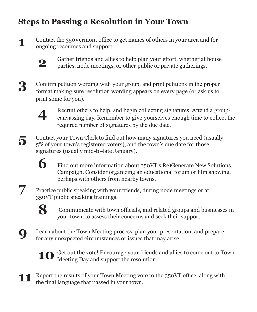### **Steps to Passing a Resolution in Your Town**

Contact the 350Vermont office to get names of others in your area and for ongoing resources and support.



Gather friends and allies to help plan your effort, whether at house parties, node meetings, or other public or private gatherings.

**3**

**1**

Confirm petition wording with your group, and print petitions in the proper format making sure resolution wording appears on every page (or ask us to print some for you).



Recruit others to help, and begin collecting signatures. Attend a groupcanvassing day. Remember to give yourselves enough time to collect the required number of signatures by the due date.

**5**

Contact your Town Clerk to find out how many signatures you need (usually 5% of your town's registered voters), and the town's due date for those signatures (usually mid-to-late January).

> Find out more information about 350VT's Re)Generate New Solutions Campaign. Consider organizing an educational forum or film showing, perhaps with others from nearby towns.

Practice public speaking with your friends, during node meetings or at 350VT public speaking trainings.



**6**

 Communicate with town officials, and related groups and businesses in your town, to assess their concerns and seek their support.



**7**

Learn about the Town Meeting process, plan your presentation, and prepare for any unexpected circumstances or issues that may arise.



**10** Get out the vote! Encourage your friends and allies to come out to Town Meeting Day and support the resolution. Meeting Day and support the resolution.

**11** Report the results of your Town Meeting vote to the 350VT office, along with the final language that passed in your town.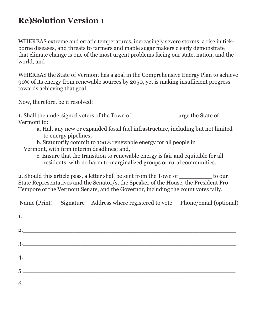### **Re)Solution Version 1**

WHEREAS extreme and erratic temperatures, increasingly severe storms, a rise in tickborne diseases, and threats to farmers and maple sugar makers clearly demonstrate that climate change is one of the most urgent problems facing our state, nation, and the world, and

WHEREAS the State of Vermont has a goal in the Comprehensive Energy Plan to achieve 90% of its energy from renewable sources by 2050, yet is making insufficient progress towards achieving that goal;

Now, therefore, be it resolved:

1. Shall the undersigned voters of the Town of wrge the State of Vermont to:

- a. Halt any new or expanded fossil fuel infrastructure, including but not limited to energy pipelines;
- b. Statutorily commit to 100% renewable energy for all people in
- Vermont, with firm interim deadlines; and,
	- c. Ensure that the transition to renewable energy is fair and equitable for all residents, with no harm to marginalized groups or rural communities.

2. Should this article pass, a letter shall be sent from the Town of to our State Representatives and the Senator/s, the Speaker of the House, the President Pro Tempore of the Vermont Senate, and the Governor, including the count votes tally.

|  | Name (Print) Signature Address where registered to vote Phone/email (optional) |  |
|--|--------------------------------------------------------------------------------|--|
|  | 1.                                                                             |  |
|  | 2.                                                                             |  |
|  |                                                                                |  |
|  | 4.                                                                             |  |
|  |                                                                                |  |
|  | 6.                                                                             |  |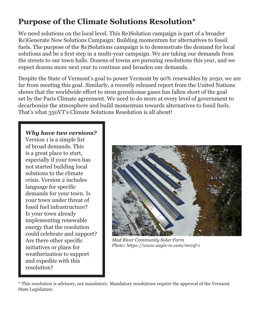### **Purpose of the Climate Solutions Resolution\***

We need solutions on the local level. This Re)Solution campaign is part of a broader Re)Generate New Solutions Campaign: Building momentum for alternatives to fossil fuels. The purpose of the Re)Solutions campaign is to demonstrate the demand for local solutions and be a first step in a multi-year campaign. We are taking our demands from the streets to our town halls. Dozens of towns are pursuing resolutions this year, and we expect dozens more next year to continue and broaden our demands.

Despite the State of Vermont's goal to power Vermont by 90% renewables by 2050, we are far from meeting this goal. Similarly, a recently released report from the United Nations shows that the worldwide effort to stem greenhouse gases has fallen short of the goal set by the Paris Climate agreement. We need to do more at every level of government to decarbonize the atmosphere and build momentum towards alternatives to fossil fuels. That's what 350VT's Climate Solutions Resolution is all about!

#### *Why have two versions?*

Version 1 is a simple list of broad demands. This is a great place to start, especially if your town has not started building local solutions to the climate crisis. Version 2 includes language for specific demands for your town. Is your town under threat of fossil fuel infrastructure? Is your town already implementing renewable energy that the resolution could celebrate and support? Are there other specific initiatives or plans for weatherization to support and expedite with this resolution?



*Mad River Community Solar Farm Photo: https://www.aegis-re.com/mrcsf-1*

<sup>\*</sup> This resolution is advisory, not mandatory. Mandatory resolutions require the approval of the Vermont State Legislature.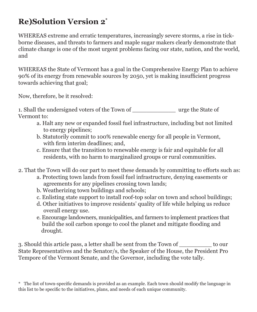## **Re)Solution Version 2\***

WHEREAS extreme and erratic temperatures, increasingly severe storms, a rise in tickborne diseases, and threats to farmers and maple sugar makers clearly demonstrate that climate change is one of the most urgent problems facing our state, nation, and the world, and

WHEREAS the State of Vermont has a goal in the Comprehensive Energy Plan to achieve 90% of its energy from renewable sources by 2050, yet is making insufficient progress towards achieving that goal;

Now, therefore, be it resolved:

1. Shall the undersigned voters of the Town of urge the State of Vermont to:

- a. Halt any new or expanded fossil fuel infrastructure, including but not limited to energy pipelines;
- b. Statutorily commit to 100% renewable energy for all people in Vermont, with firm interim deadlines; and,
- c. Ensure that the transition to renewable energy is fair and equitable for all residents, with no harm to marginalized groups or rural communities.
- 2. That the Town will do our part to meet these demands by committing to efforts such as:
	- a. Protecting town lands from fossil fuel infrastructure, denying easements or agreements for any pipelines crossing town lands;
	- b. Weatherizing town buildings and schools;
	- c. Enlisting state support to install roof-top solar on town and school buildings;
	- d. Other initiatives to improve residents' quality of life while helping us reduce overall energy use.
	- e. Encourage landowners, municipalities, and farmers to implement practices that build the soil carbon sponge to cool the planet and mitigate flooding and drought.

3. Should this article pass, a letter shall be sent from the Town of \_\_\_\_\_\_\_\_\_ to our State Representatives and the Senator/s, the Speaker of the House, the President Pro Tempore of the Vermont Senate, and the Governor, including the vote tally.

\* The list of town-specific demands is provided as an example. Each town should modify the language in this list to be specific to the initiatives, plans, and needs of each unique community.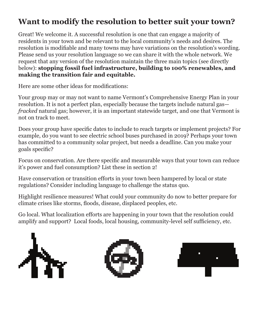### **Want to modify the resolution to better suit your town?**

Great! We welcome it. A successful resolution is one that can engage a majority of residents in your town and be relevant to the local community's needs and desires. The resolution is modifiable and many towns may have variations on the resolution's wording. Please send us your resolution language so we can share it with the whole network. We request that any version of the resolution maintain the three main topics (see directly below): **stopping fossil fuel infrastructure, building to 100% renewables, and making the transition fair and equitable.**

Here are some other ideas for modifications:

Your group may or may not want to name Vermont's Comprehensive Energy Plan in your resolution. It is not a perfect plan, especially because the targets include natural gas *fracked* natural gas; however, it is an important statewide target, and one that Vermont is not on track to meet.

Does your group have specific dates to include to reach targets or implement projects? For example, do you want to see electric school buses purchased in 2019? Perhaps your town has committed to a community solar project, but needs a deadline. Can you make your goals specific?

Focus on conservation. Are there specific and measurable ways that your town can reduce it's power and fuel consumption? List these in section 2!

Have conservation or transition efforts in your town been hampered by local or state regulations? Consider including language to challenge the status quo.

Highlight resilience measures! What could your community do now to better prepare for climate crises like storms, floods, disease, displaced peoples, etc.

Go local. What localization efforts are happening in your town that the resolution could amplify and support? Local foods, local housing, community-level self sufficiency, etc.





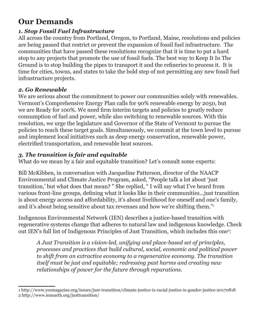### **Our Demands**

#### *1. Stop Fossil Fuel Infrastructure*

All across the country from Portland, Oregon, to Portland, Maine, resolutions and policies are being passed that restrict or prevent the expansion of fossil fuel infrastructure. The communities that have passed these resolutions recognize that it is time to put a hard stop to any projects that promote the use of fossil fuels. The best way to Keep It In The Ground is to stop building the pipes to transport it and the refineries to process it. It is time for cities, towns, and states to take the bold step of not permitting any new fossil fuel infrastructure projects.

#### *2. Go Renewable*

We are serious about the commitment to power our communities solely with renewables. Vermont's Comprehensive Energy Plan calls for 90% renewable energy by 2050, but we are Ready for 100%. We need firm interim targets and policies to greatly reduce consumption of fuel and power, while also switching to renewable sources. With this resolution, we urge the legislature and Governor of the State of Vermont to pursue the policies to reach these target goals. Simultaneously, we commit at the town level to pursue and implement local initiatives such as deep energy conservation, renewable power, electrified transportation, and renewable heat sources.

#### *3. The transition is fair and equitable*

What do we mean by a fair and equitable transition? Let's consult some experts:

Bill McKibben, in conversation with Jacqueline Patterson, director of the NAACP Environmental and Climate Justice Program, asked, "People talk a lot about 'just transition,' but what does that mean? " She replied, " I will say what I've heard from various front-line groups, defining what it looks like in their communities...just transition is about energy access and affordability, it's about livelihood for oneself and one's family, and it's about being sensitive about tax revenues and how we're shifting them."<sup>1</sup>

Indigenous Environmental Network (IEN) describes a justice-based transition with regenerative systems change that adheres to natural law and indigenous knowledge. Check out IEN's full list of Indigenous Principles of Just Transition, which includes this one<sup>2</sup>:

*A Just Transition is a vision-led, unifying and place-based set of principles, processes and practices that build cultural, social, economic and political power to shift from an extractive economy to a regenerative economy. The transition itself must be just and equitable; redressing past harms and creating new relationships of power for the future through reparations.*

<sup>1</sup> http://www.yesmagazine.org/issues/just-transition/climate-justice-is-racial-justice-is-gender-justice-20170818 2 http://www.ienearth.org/justtransition/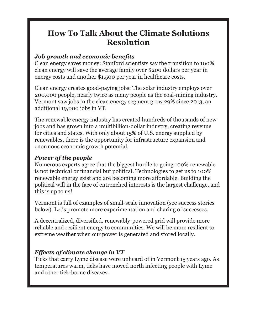### **How To Talk About the Climate Solutions Resolution**

#### *Job growth and economic benefits*

Clean energy saves money: Stanford scientists say the transition to 100% clean energy will save the average family over \$200 dollars per year in energy costs and another \$1,500 per year in healthcare costs.

Clean energy creates good-paying jobs: The solar industry employs over 200,000 people, nearly twice as many people as the coal-mining industry. Vermont saw jobs in the clean energy segment grow 29% since 2013, an additional 19,000 jobs in VT.

The renewable energy industry has created hundreds of thousands of new jobs and has grown into a multibillion-dollar industry, creating revenue for cities and states. With only about 15% of U.S. energy supplied by renewables, there is the opportunity for infrastructure expansion and enormous economic growth potential.

#### *Power of the people*

Numerous experts agree that the biggest hurdle to going 100% renewable is not technical or financial but political. Technologies to get us to 100% renewable energy exist and are becoming more affordable. Building the political will in the face of entrenched interests is the largest challenge, and this is up to us!

Vermont is full of examples of small-scale innovation (see success stories below). Let's promote more experimentation and sharing of successes.

A decentralized, diversified, renewably-powered grid will provide more reliable and resilient energy to communities. We will be more resilient to extreme weather when our power is generated and stored locally.

#### *Effects of climate change in VT*

Ticks that carry Lyme disease were unheard of in Vermont 15 years ago. As temperatures warm, ticks have moved north infecting people with Lyme and other tick-borne diseases.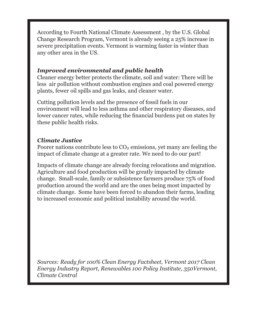According to Fourth National Climate Assessment , by the U.S. Global Change Research Program, Vermont is already seeing a 25% increase in severe precipitation events. Vermont is warming faster in winter than any other area in the US.

#### *Improved environmental and public health*

Cleaner energy better protects the climate, soil and water: There will be less air pollution without combustion engines and coal powered energy plants, fewer oil spills and gas leaks, and cleaner water.

Cutting pollution levels and the presence of fossil fuels in our environment will lead to less asthma and other respiratory diseases, and lower cancer rates, while reducing the financial burdens put on states by these public health risks.

#### *Climate Justice*

Poorer nations contribute less to  $CO<sub>2</sub>$  emissions, yet many are feeling the impact of climate change at a greater rate. We need to do our part!

Impacts of climate change are already forcing relocations and migration. Agriculture and food production will be greatly impacted by climate change. Small-scale, family or subsistence farmers produce 75% of food production around the world and are the ones being most impacted by climate change. Some have been forced to abandon their farms, leading to increased economic and political instability around the world.

*Sources: Ready for 100% Clean Energy Factsheet, Vermont 2017 Clean Energy Industry Report, Renewables 100 Policy Institute, 350Vermont, Climate Central*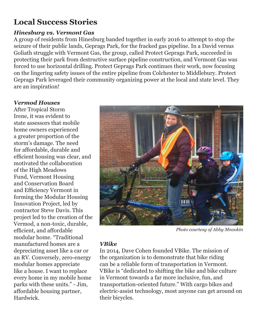### **Local Success Stories**

#### *Hinesburg vs. Vermont Gas*

A group of residents from Hinesburg banded together in early 2016 to attempt to stop the seizure of their public lands, Geprags Park, for the fracked gas pipeline. In a David versus Goliath struggle with Vermont Gas, the group, called Protect Geprags Park, succeeded in protecting their park from destructive surface pipeline construction, and Vermont Gas was forced to use horizontal drilling. Protect Geprags Park continues their work, now focusing on the lingering safety issues of the entire pipeline from Colchester to Middlebury. Protect Geprags Park leveraged their community organizing power at the local and state level. They are an inspiration!

#### *Vermod Houses*

After Tropical Storm Irene, it was evident to state assessors that mobile home owners experienced a greater proportion of the storm's damage. The need for affordable, durable and efficient housing was clear, and motivated the collaboration of the High Meadows Fund, Vermont Housing and Conservation Board and Efficiency Vermont in forming the Modular Housing Innovation Project, led by contractor Steve Davis. This project led to the creation of the Vermod, a non-toxic, durable, efficient, and affordable modular home. "Traditional manufactured homes are a depreciating asset like a car or an RV. Conversely, zero-energy modular homes appreciate like a house. I want to replace every home in my mobile home parks with these units." - Jim, affordable housing partner, Hardwick.



*Photo courtesy of Abby Mnookin*

#### *VBike*

In 2014, Dave Cohen founded VBike. The mission of the organization is to demonstrate that bike riding can be a reliable form of transportation in Vermont. VBike is "dedicated to shifting the bike and bike culture in Vermont towards a far more inclusive, fun, and transportation-oriented future." With cargo bikes and electric-assist technology, most anyone can get around on their bicycles.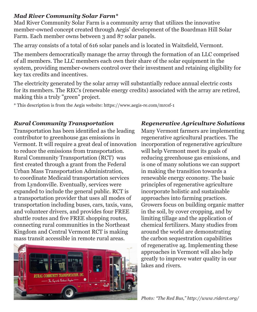#### *Mad River Community Solar Farm\**

Mad River Community Solar Farm is a community array that utilizes the innovative member-owned concept created through Aegis' development of the Boardman Hill Solar Farm. Each member owns between 3 and 87 solar panels.

The array consists of a total of 616 solar panels and is located in Waitsfield, Vermont.

The members democratically manage the array through the formation of an LLC comprised of all members. The LLC members each own their share of the solar equipment in the system, providing member-owners control over their investment and retaining eligibility for key tax credits and incentives.

The electricity generated by the solar array will substantially reduce annual electric costs for its members. The REC's (renewable energy credits) associated with the array are retired, making this a truly "green" project.

\* This description is from the Aegis website: https://www.aegis-re.com/mrcsf-1

Transportation has been identified as the leading contributor to greenhouse gas emissions in Vermont. It will require a great deal of innovation to reduce the emissions from transportation. Rural Community Transportation (RCT) was first created through a grant from the Federal Urban Mass Transportation Administration, to coordinate Medicaid transportation services from Lyndonville. Eventually, services were expanded to include the general public. RCT is a transportation provider that uses all modes of transportation including buses, cars, taxis, vans, and volunteer drivers, and provides four FREE shuttle routes and five FREE shopping routes, connecting rural communities in the Northeast Kingdom and Central Vermont RCT is making mass transit accessible in remote rural areas.



### *Rural Community Transportation Regenerative Agriculture Solutions*

Many Vermont farmers are implementing regenerative agricultural practices. The incorporation of regenerative agriculture will help Vermont meet its goals of reducing greenhouse gas emissions, and is one of many solutions we can support in making the transition towards a renewable energy economy. The basic principles of regenerative agriculture incorporate holistic and sustainable approaches into farming practices. Growers focus on building organic matter in the soil, by cover cropping, and by limiting tillage and the application of chemical fertilizers. Many studies from around the world are demonstrating the carbon sequestration capabilities of regenerative ag. Implementing these approaches in Vermont will also help greatly to improve water quality in our lakes and rivers.